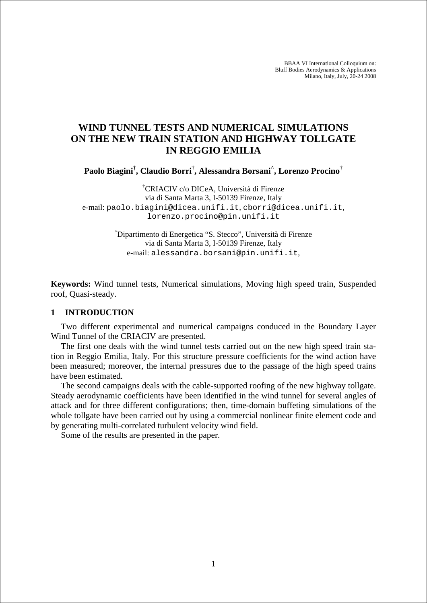BBAA VI International Colloquium on: Bluff Bodies Aerodynamics & Applications Milano, Italy, July, 20-24 2008

# **WIND TUNNEL TESTS AND NUMERICAL SIMULATIONS ON THE NEW TRAIN STATION AND HIGHWAY TOLLGATE IN REGGIO EMILIA**

**Paolo Biagini† , Claudio Borri† , Alessandra Borsani^ , Lorenzo Procino†**

† CRIACIV c/o DICeA, Università di Firenze via di Santa Marta 3, I-50139 Firenze, Italy e-mail: paolo.biagini@dicea.unifi.it, cborri@dicea.unifi.it, lorenzo.procino@pin.unifi.it

> ^ Dipartimento di Energetica "S. Stecco", Università di Firenze via di Santa Marta 3, I-50139 Firenze, Italy e-mail: alessandra.borsani@pin.unifi.it,

**Keywords:** Wind tunnel tests, Numerical simulations, Moving high speed train, Suspended roof, Quasi-steady.

### **1 INTRODUCTION**

Two different experimental and numerical campaigns conduced in the Boundary Layer Wind Tunnel of the CRIACIV are presented.

The first one deals with the wind tunnel tests carried out on the new high speed train station in Reggio Emilia, Italy. For this structure pressure coefficients for the wind action have been measured; moreover, the internal pressures due to the passage of the high speed trains have been estimated.

The second campaigns deals with the cable-supported roofing of the new highway tollgate. Steady aerodynamic coefficients have been identified in the wind tunnel for several angles of attack and for three different configurations; then, time-domain buffeting simulations of the whole tollgate have been carried out by using a commercial nonlinear finite element code and by generating multi-correlated turbulent velocity wind field.

Some of the results are presented in the paper.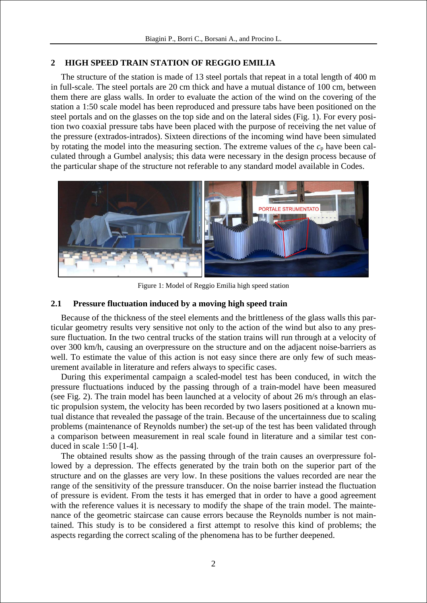# **2 HIGH SPEED TRAIN STATION OF REGGIO EMILIA**

The structure of the station is made of 13 steel portals that repeat in a total length of 400 m in full-scale. The steel portals are 20 cm thick and have a mutual distance of 100 cm, between them there are glass walls. In order to evaluate the action of the wind on the covering of the station a 1:50 scale model has been reproduced and pressure tabs have been positioned on the steel portals and on the glasses on the top side and on the lateral sides (Fig. 1). For every position two coaxial pressure tabs have been placed with the purpose of receiving the net value of the pressure (extrados-intrados). Sixteen directions of the incoming wind have been simulated by rotating the model into the measuring section. The extreme values of the  $c_p$  have been calculated through a Gumbel analysis; this data were necessary in the design process because of the particular shape of the structure not referable to any standard model available in Codes.



Figure 1: Model of Reggio Emilia high speed station

## **2.1 Pressure fluctuation induced by a moving high speed train**

Because of the thickness of the steel elements and the brittleness of the glass walls this particular geometry results very sensitive not only to the action of the wind but also to any pressure fluctuation. In the two central trucks of the station trains will run through at a velocity of over 300 km/h, causing an overpressure on the structure and on the adjacent noise-barriers as well. To estimate the value of this action is not easy since there are only few of such measurement available in literature and refers always to specific cases.

During this experimental campaign a scaled-model test has been conduced, in witch the pressure fluctuations induced by the passing through of a train-model have been measured (see Fig. 2). The train model has been launched at a velocity of about 26 m/s through an elastic propulsion system, the velocity has been recorded by two lasers positioned at a known mutual distance that revealed the passage of the train. Because of the uncertainness due to scaling problems (maintenance of Reynolds number) the set-up of the test has been validated through a comparison between measurement in real scale found in literature and a similar test conduced in scale 1:50 [1-4].

The obtained results show as the passing through of the train causes an overpressure followed by a depression. The effects generated by the train both on the superior part of the structure and on the glasses are very low. In these positions the values recorded are near the range of the sensitivity of the pressure transducer. On the noise barrier instead the fluctuation of pressure is evident. From the tests it has emerged that in order to have a good agreement with the reference values it is necessary to modify the shape of the train model. The maintenance of the geometric staircase can cause errors because the Reynolds number is not maintained. This study is to be considered a first attempt to resolve this kind of problems; the aspects regarding the correct scaling of the phenomena has to be further deepened.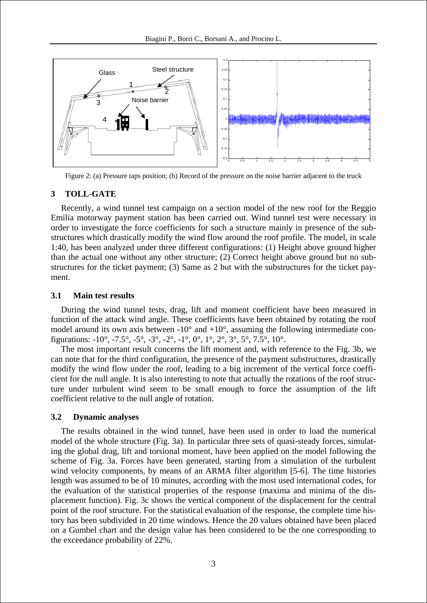

Figure 2: (a) Pressure taps position; (b) Record of the pressure on the noise barrier adjacent to the truck

### **3 TOLL-GATE**

Recently, a wind tunnel test campaign on a section model of the new roof for the Reggio Emilia motorway payment station has been carried out. Wind tunnel test were necessary in order to investigate the force coefficients for such a structure mainly in presence of the substructures which drastically modify the wind flow around the roof profile. The model, in scale 1:40, has been analyzed under three different configurations: (1) Height above ground higher than the actual one without any other structure; (2) Correct height above ground but no substructures for the ticket payment; (3) Same as 2 but with the substructures for the ticket payment.

#### **3.1 Main test results**

During the wind tunnel tests, drag, lift and moment coefficient have been measured in function of the attack wind angle. These coefficients have been obtained by rotating the roof model around its own axis between  $-10^{\circ}$  and  $+10^{\circ}$ , assuming the following intermediate configurations:  $-10^{\circ}$ ,  $-7.5^{\circ}$ ,  $-5^{\circ}$ ,  $-3^{\circ}$ ,  $-2^{\circ}$ ,  $-1^{\circ}$ ,  $0^{\circ}$ ,  $1^{\circ}$ ,  $2^{\circ}$ ,  $3^{\circ}$ ,  $5^{\circ}$ ,  $7.5^{\circ}$ ,  $10^{\circ}$ .

The most important result concerns the lift moment and, with reference to the Fig. 3b, we can note that for the third configuration, the presence of the payment substructures, drastically modify the wind flow under the roof, leading to a big increment of the vertical force coefficient for the null angle. It is also interesting to note that actually the rotations of the roof structure under turbulent wind seem to be small enough to force the assumption of the lift coefficient relative to the null angle of rotation.

### **3.2 Dynamic analyses**

The results obtained in the wind tunnel, have been used in order to load the numerical model of the whole structure (Fig. 3a). In particular three sets of quasi-steady forces, simulating the global drag, lift and torsional moment, have been applied on the model following the scheme of Fig. 3a. Forces have been generated, starting from a simulation of the turbulent wind velocity components, by means of an ARMA filter algorithm [5-6]. The time histories length was assumed to be of 10 minutes, according with the most used international codes, for the evaluation of the statistical properties of the response (maxima and minima of the displacement function). Fig. 3c shows the vertical component of the displacement for the central point of the roof structure. For the statistical evaluation of the response, the complete time history has been subdivided in 20 time windows. Hence the 20 values obtained have been placed on a Gumbel chart and the design value has been considered to be the one corresponding to the exceedance probability of 22%.